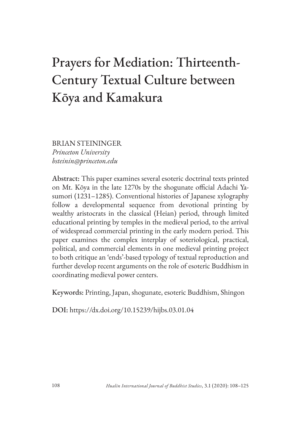# Prayers for Mediation: Thirteenth-Century Textual Culture between Kōya and Kamakura

BRIAN STEININGER *Princeton University bsteinin@princeton.edu*

Abstract: This paper examines several esoteric doctrinal texts printed on Mt. Kōya in the late 1270s by the shogunate official Adachi Yasumori (1231–1285). Conventional histories of Japanese xylography follow a developmental sequence from devotional printing by wealthy aristocrats in the classical (Heian) period, through limited educational printing by temples in the medieval period, to the arrival of widespread commercial printing in the early modern period. This paper examines the complex interplay of soteriological, practical, political, and commercial elements in one medieval printing project to both critique an 'ends'-based typology of textual reproduction and further develop recent arguments on the role of esoteric Buddhism in coordinating medieval power centers.

Keywords: Printing, Japan, shogunate, esoteric Buddhism, Shingon

DOI: https://dx.doi.org/10.15239/hijbs.03.01.04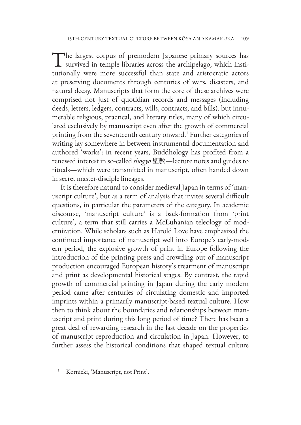The largest corpus of premodern Japanese primary sources has survived in temple libraries across the archipelago, which institutional tutionally were more successful than state and aristocratic actors at preserving documents through centuries of wars, disasters, and natural decay. Manuscripts that form the core of these archives were comprised not just of quotidian records and messages (including deeds, letters, ledgers, contracts, wills, contracts, and bills), but innumerable religious, practical, and literary titles, many of which circulated exclusively by manuscript even after the growth of commercial printing from the seventeenth century onward.<sup>1</sup> Further categories of writing lay somewhere in between instrumental documentation and authored 'works': in recent years, Buddhology has profited from a renewed interest in so-called *shōgyō* 聖教—lecture notes and guides to rituals—which were transmitted in manuscript, often handed down in secret master-disciple lineages.

It is therefore natural to consider medieval Japan in terms of 'manuscript culture', but as a term of analysis that invites several difficult questions, in particular the parameters of the category. In academic discourse, 'manuscript culture' is a back-formation from 'print culture', a term that still carries a McLuhanian teleology of modernization. While scholars such as Harold Love have emphasized the continued importance of manuscript well into Europe's early-modern period, the explosive growth of print in Europe following the introduction of the printing press and crowding out of manuscript production encouraged European history's treatment of manuscript and print as developmental historical stages. By contrast, the rapid growth of commercial printing in Japan during the early modern period came after centuries of circulating domestic and imported imprints within a primarily manuscript-based textual culture. How then to think about the boundaries and relationships between manuscript and print during this long period of time? There has been a great deal of rewarding research in the last decade on the properties of manuscript reproduction and circulation in Japan. However, to further assess the historical conditions that shaped textual culture

Kornicki, 'Manuscript, not Print'.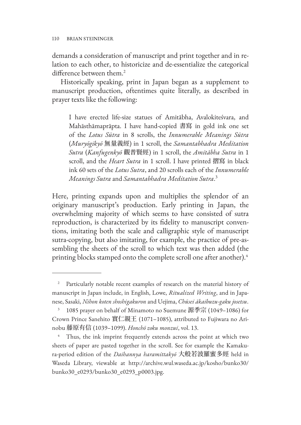demands a consideration of manuscript and print together and in relation to each other, to historicize and de-essentialize the categorical difference between them.<sup>2</sup>

Historically speaking, print in Japan began as a supplement to manuscript production, oftentimes quite literally, as described in prayer texts like the following:

I have erected life-size statues of Amitābha, Avalokiteśvara, and Mahāsthāmaprāpta. I have hand-copied 書寫 in gold ink one set of the *Lotus Sūtra* in 8 scrolls, the *Innumerable Meanings Sūtra* (*Muryōgikyō* 無量義經) in 1 scroll, the *Samantabhadra Meditation Sutra* (*Kanfugenkyō* 觀普賢經) in 1 scroll, the *Amitābha Sutra* in 1 scroll, and the *Heart Sutra* in 1 scroll. I have printed 摺寫 in black ink 60 sets of the *Lotus Sutra*, and 20 scrolls each of the *Innumerable Meanings Sutra* and *Samantabhadra Meditation Sutra*. 3

Here, printing expands upon and multiplies the splendor of an originary manuscript's production. Early printing in Japan, the overwhelming majority of which seems to have consisted of sutra reproduction, is characterized by its fidelity to manuscript conventions, imitating both the scale and calligraphic style of manuscript sutra-copying, but also imitating, for example, the practice of pre-assembling the sheets of the scroll to which text was then added (the printing blocks stamped onto the complete scroll one after another).<sup>4</sup>

<sup>&</sup>lt;sup>2</sup> Particularly notable recent examples of research on the material history of manuscript in Japan include, in English, Lowe, *Ritualized Writing*, and in Japanese, Sasaki, *Nihon koten shoshigakuron* and Uejima, *Chūsei ākaibuzu-gaku josetsu*.

 $3$  1085 prayer on behalf of Minamoto no Suemune 源季宗 (1049–1086) for Crown Prince Sanehito 實仁親王 (1071–1085), attributed to Fujiwara no Arinobu 藤原有信 (1039–1099). *Honchō zoku monzui*, vol. 13.

<sup>&</sup>lt;sup>4</sup> Thus, the ink imprint frequently extends across the point at which two sheets of paper are pasted together in the scroll. See for example the Kamakura-period edition of the *Daihannya haramittakyō* 大般若波羅蜜多經 held in [Waseda Library, viewable at http://archive.wul.waseda.ac.jp/kosho/bunko30/](https://archive.wul.waseda.ac.jp/kosho/bunko30/bunko30_e0293/bunko30_e0293_p0003.jpg) bunko30\_e0293/bunko30\_e0293\_p0003.jpg.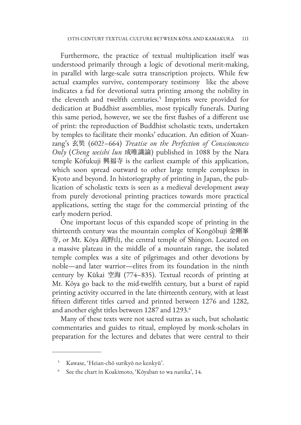Furthermore, the practice of textual multiplication itself was understood primarily through a logic of devotional merit-making, in parallel with large-scale sutra transcription projects. While few actual examples survive, contemporary testimony like the above indicates a fad for devotional sutra printing among the nobility in the eleventh and twelfth centuries.<sup>5</sup> Imprints were provided for dedication at Buddhist assemblies, most typically funerals. During this same period, however, we see the first flashes of a different use of print: the reproduction of Buddhist scholastic texts, undertaken by temples to facilitate their monks' education. An edition of Xuanzang's 玄奘 (602?–664) *Treatise on the Perfection of Consciousness Only* (*Cheng weishi lun* 成唯識論) published in 1088 by the Nara temple Kōfukuji 興福寺 is the earliest example of this application, which soon spread outward to other large temple complexes in Kyoto and beyond. In historiography of printing in Japan, the publication of scholastic texts is seen as a medieval development away from purely devotional printing practices towards more practical applications, setting the stage for the commercial printing of the early modern period.

One important locus of this expanded scope of printing in the thirteenth century was the mountain complex of Kongōbuji 金剛峯 寺, or Mt. Kōya 高野山, the central temple of Shingon. Located on a massive plateau in the middle of a mountain range, the isolated temple complex was a site of pilgrimages and other devotions by noble—and later warrior—elites from its foundation in the ninth century by Kūkai 空海 (774–835). Textual records of printing at Mt. Kōya go back to the mid-twelfth century, but a burst of rapid printing activity occurred in the late thirteenth century, with at least fifteen different titles carved and printed between 1276 and 1282, and another eight titles between 1287 and 1293.<sup>6</sup>

Many of these texts were not sacred sutras as such, but scholastic commentaries and guides to ritual, employed by monk-scholars in preparation for the lectures and debates that were central to their

<sup>5</sup> Kawase, 'Heian-chō surikyō no kenkyū'.

See the chart in Koakimoto, 'Kōyaban to wa nanika', 14.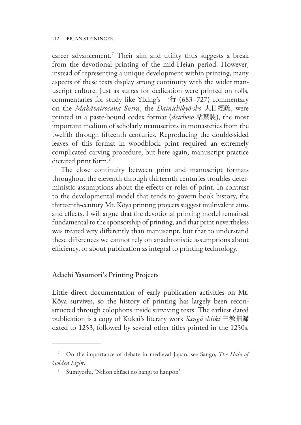career advancement.7 Their aim and utility thus suggests a break from the devotional printing of the mid-Heian period. However, instead of representing a unique development within printing, many aspects of these texts display strong continuity with the wider manuscript culture. Just as sutras for dedication were printed on rolls, commentaries for study like Yixing's 一行 (683–727) commentary on the *Mahāvairocana Sutra*, the *Dainichikyō-sho* 大日經疏, were printed in a paste-bound codex format (*detchōsō* 粘葉裝), the most important medium of scholarly manuscripts in monasteries from the twelfth through fifteenth centuries. Reproducing the double-sided leaves of this format in woodblock print required an extremely complicated carving procedure, but here again, manuscript practice dictated print form.<sup>8</sup>

The close continuity between print and manuscript formats throughout the eleventh through thirteenth centuries troubles deterministic assumptions about the effects or roles of print. In contrast to the developmental model that tends to govern book history, the thirteenth-century Mt. Kōya printing projects suggest multivalent aims and effects. I will argue that the devotional printing model remained fundamental to the sponsorship of printing, and that print nevertheless was treated very differently than manuscript, but that to understand these differences we cannot rely on anachronistic assumptions about efficiency, or about publication as integral to printing technology.

## Adachi Yasumori's Printing Projects

Little direct documentation of early publication activities on Mt. Kōya survives, so the history of printing has largely been reconstructed through colophons inside surviving texts. The earliest dated publication is a copy of Kūkai's literary work *Sangō shiiki* 三教指歸 dated to 1253, followed by several other titles printed in the 1250s.

<sup>7</sup> On the importance of debate in medieval Japan, see Sango, *The Halo of Golden Light*.

<sup>8</sup> Sumiyoshi, 'Nihon chūsei no hangi to hanpon'.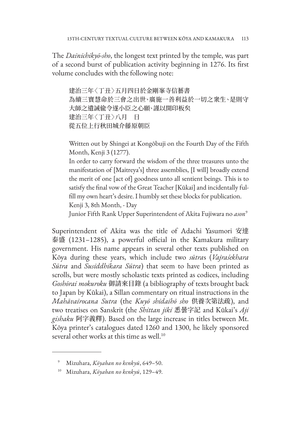The *Dainichikyō-sho*, the longest text printed by the temple, was part of a second burst of publication activity beginning in 1276. Its first volume concludes with the following note:

建治三年〈丁丑〉五月四日於金剛峯寺信藝書 為續三寶慧命於三會之出世、廣施一善利益於一切之衆生、是則守 大師之遺誡偸令遂小臣之心願、謹以開印板矣 建治三年〈丁丑〉八月 日 從五位上行秋田城介藤原朝臣

Written out by Shingei at Kongōbuji on the Fourth Day of the Fifth Month, Kenji 3 (1277).

In order to carry forward the wisdom of the three treasures unto the manifestation of [Maitreya's] three assemblies, [I will] broadly extend the merit of one [act of] goodness unto all sentient beings. This is to satisfy the final vow of the Great Teacher [Kūkai] and incidentally fulfill my own heart's desire. I humbly set these blocks for publication. Kenji 3, 8th Month, - Day

Junior Fifth Rank Upper Superintendent of Akita Fujiwara no *ason*<sup>9</sup>

Superintendent of Akita was the title of Adachi Yasumori 安達 泰盛 (1231–1285), a powerful official in the Kamakura military government. His name appears in several other texts published on Kōya during these years, which include two *sūtra*s (*Vajraśekhara Sūtra* and *Susiddhikara Sūtra*) that seem to have been printed as scrolls, but were mostly scholastic texts printed as codices, including *Goshōrai mokuroku* 御請來目錄 (a bibliography of texts brought back to Japan by Kūkai), a Sillan commentary on ritual instructions in the *Mahāvairocana Sutra* (the *Kuyō shidaihō sho* 供養次第法疏), and two treatises on Sanskrit (the *Shittan jiki* 悉曇字記 and Kūkai's *Aji gishaku* 阿字義釋). Based on the large increase in titles between Mt. Kōya printer's catalogues dated 1260 and 1300, he likely sponsored several other works at this time as well.<sup>10</sup>

<sup>9</sup> Mizuhara, *Kōyaban no kenkyū*, 649–50.

<sup>10</sup> Mizuhara, *Kōyaban no kenkyū*, 129–49.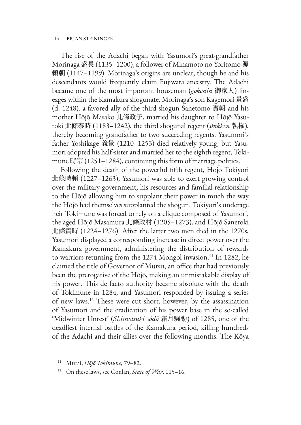The rise of the Adachi began with Yasumori's great-grandfather Morinaga 盛長 (1135–1200), a follower of Minamoto no Yoritomo 源 頼朝 (1147–1199). Morinaga's origins are unclear, though he and his descendants would frequently claim Fujiwara ancestry. The Adachi became one of the most important houseman (*gokenin* 御家人) lineages within the Kamakura shogunate. Morinaga's son Kagemori 景盛 (d. 1248), a favored ally of the third shogun Sanetomo 實朝 and his mother Hōjō Masako 北條政子, married his daughter to Hōjō Yasutoki 北條泰時 (1183–1242), the third shogunal regent (*shikken* 執權), thereby becoming grandfather to two succeeding regents. Yasumori's father Yoshikage 義景 (1210–1253) died relatively young, but Yasumori adopted his half-sister and married her to the eighth regent, Tokimune 時宗 (1251–1284), continuing this form of marriage politics.

Following the death of the powerful fifth regent, Hōjō Tokiyori 北條時頼 (1227–1263), Yasumori was able to exert growing control over the military government, his resources and familial relationship to the Hōjō allowing him to supplant their power in much the way the Hōjō had themselves supplanted the shogun. Tokiyori's underage heir Tokimune was forced to rely on a clique composed of Yasumori, the aged Hōjō Masamura 北條政村 (1205–1273), and Hōjō Sanetoki 北條實時 (1224–1276). After the latter two men died in the 1270s, Yasumori displayed a corresponding increase in direct power over the Kamakura government, administering the distribution of rewards to warriors returning from the 1274 Mongol invasion.<sup>11</sup> In 1282, he claimed the title of Governor of Mutsu, an office that had previously been the prerogative of the Hōjō, making an unmistakable display of his power. This de facto authority became absolute with the death of Tokimune in 1284, and Yasumori responded by issuing a series of new laws.12 These were cut short, however, by the assassination of Yasumori and the eradication of his power base in the so-called 'Midwinter Unrest' (*Shimotsuki sōdō* 霜月騒動) of 1285, one of the deadliest internal battles of the Kamakura period, killing hundreds of the Adachi and their allies over the following months. The Kōya

<sup>11</sup> Murai, *Hōjō Tokimune*, 79–82.

<sup>12</sup> On these laws, see Conlan, *State of War*, 115–16.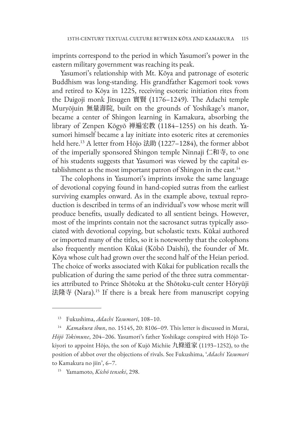imprints correspond to the period in which Yasumori's power in the eastern military government was reaching its peak.

Yasumori's relationship with Mt. Kōya and patronage of esoteric Buddhism was long-standing. His grandfather Kagemori took vows and retired to Kōya in 1225, receiving esoteric initiation rites from the Daigoji monk Jitsugen 實賢 (1176–1249). The Adachi temple Muryōjuin 無量壽院, built on the grounds of Yoshikage's manor, became a center of Shingon learning in Kamakura, absorbing the library of Zenpen Kōgyō 禅遍宏教 (1184–1255) on his death. Yasumori himself became a lay initiate into esoteric rites at ceremonies held here.13 A letter from Hōjo 法助 (1227–1284), the former abbot of the imperially sponsored Shingon temple Ninnaji 仁和寺, to one of his students suggests that Yasumori was viewed by the capital establishment as the most important patron of Shingon in the east.<sup>14</sup>

The colophons in Yasumori's imprints invoke the same language of devotional copying found in hand-copied sutras from the earliest surviving examples onward. As in the example above, textual reproduction is described in terms of an individual's vow whose merit will produce benefits, usually dedicated to all sentient beings. However, most of the imprints contain not the sacrosanct sutras typically associated with devotional copying, but scholastic texts. Kūkai authored or imported many of the titles, so it is noteworthy that the colophons also frequently mention Kūkai (Kōbō Daishi), the founder of Mt. Kōya whose cult had grown over the second half of the Heian period. The choice of works associated with Kūkai for publication recalls the publication of during the same period of the three sutra commentaries attributed to Prince Shōtoku at the Shōtoku-cult center Hōryūji 法隆寺 (Nara).<sup>15</sup> If there is a break here from manuscript copying

<sup>13</sup> Fukushima, *Adachi Yasumori*, 108–10.

<sup>&</sup>lt;sup>14</sup> *Kamakura ibun*, no. 15145, 20: 8106-09. This letter is discussed in Murai, *Hōjō Tokimune*, 204–206. Yasumori's father Yoshikage conspired with Hōjō Tokiyori to appoint Hōjo, the son of Kujō Michiie 九條道家 (1193–1252), to the position of abbot over the objections of rivals. See Fukushima, '*Adachi Yasumori* to Kamakura no jiin', 6–7.

<sup>15</sup> Yamamoto, *Kichō tenseki*, 298.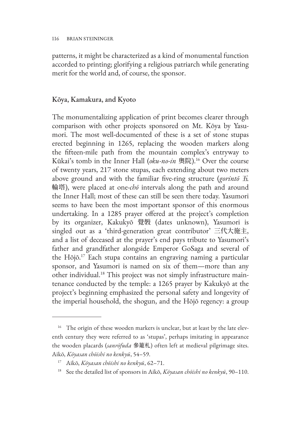patterns, it might be characterized as a kind of monumental function accorded to printing; glorifying a religious patriarch while generating merit for the world and, of course, the sponsor.

### Kōya, Kamakura, and Kyoto

The monumentalizing application of print becomes clearer through comparison with other projects sponsored on Mt. Kōya by Yasumori. The most well-documented of these is a set of stone stupas erected beginning in 1265, replacing the wooden markers along the fifteen-mile path from the mountain complex's entryway to Kūkai's tomb in the Inner Hall (*oku-no-in* 奧院).16 Over the course of twenty years, 217 stone stupas, each extending about two meters above ground and with the familiar five-ring structure (*gorintō* 五 輪塔), were placed at one-*chō* intervals along the path and around the Inner Hall; most of these can still be seen there today. Yasumori seems to have been the most important sponsor of this enormous undertaking. In a 1285 prayer offered at the project's completion by its organizer, Kakukyō 覺斅 (dates unknown), Yasumori is singled out as a 'third-generation great contributor' 三代大施主, and a list of deceased at the prayer's end pays tribute to Yasumori's father and grandfather alongside Emperor GoSaga and several of the Hōjō.17 Each stupa contains an engraving naming a particular sponsor, and Yasumori is named on six of them—more than any other individual.18 This project was not simply infrastructure maintenance conducted by the temple: a 1265 prayer by Kakukyō at the project's beginning emphasized the personal safety and longevity of the imperial household, the shogun, and the Hōjō regency: a group

<sup>&</sup>lt;sup>16</sup> The origin of these wooden markers is unclear, but at least by the late eleventh century they were referred to as 'stupas', perhaps imitating in appearance the wooden placards (*sanrōfuda* 參籠札) often left at medieval pilgrimage sites. Aikō, *Kōyasan chōishi no kenkyū*, 54–59.

<sup>17</sup> Aikō, *Kōyasan chōishi no kenkyū*, 62–71.

<sup>18</sup> See the detailed list of sponsors in Aikō, *Kōyasan chōishi no kenkyū*, 90–110.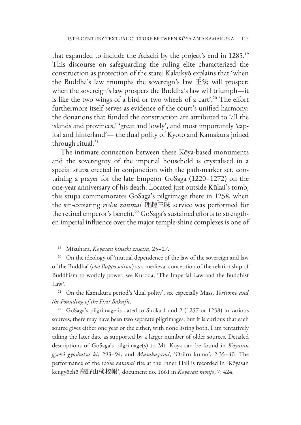that expanded to include the Adachi by the project's end in 1285.19 This discourse on safeguarding the ruling elite characterized the construction as protection of the state: Kakukyō explains that 'when the Buddha's law triumphs the sovereign's law 王法 will prosper; when the sovereign's law prospers the Buddha's law will triumph—it is like the two wings of a bird or two wheels of a cart'.<sup>20</sup> The effort furthermore itself serves as evidence of the court's unified harmony: the donations that funded the construction are attributed to 'all the islands and provinces,' 'great and lowly', and most importantly 'capital and hinterland'— the dual polity of Kyoto and Kamakura joined through ritual.<sup>21</sup>

The intimate connection between these Kōya-based monuments and the sovereignty of the imperial household is crystalised in a special stupa erected in conjunction with the path-marker set, containing a prayer for the late Emperor GoSaga (1220–1272) on the one-year anniversary of his death. Located just outside Kūkai's tomb, this stupa commemorates GoSaga's pilgrimage there in 1258, when the sin-expiating *rishu zanmai* 理趣三昧 service was performed for the retired emperor's benefit.<sup>22</sup> GoSaga's sustained efforts to strengthen imperial influence over the major temple-shine complexes is one of

<sup>19</sup> Mizuhara, *Kōyasan kinseki zusetsu*, 25–27.

<sup>&</sup>lt;sup>20</sup> On the ideology of 'mutual dependence of the law of the sovereign and law of the Buddha' (*ōbō Buppō sōiron*) as a medieval conception of the relationship of Buddhism to worldly power, see Kuroda, 'The Imperial Law and the Buddhist Law'.

<sup>21</sup> On the Kamakura period's 'dual polity', see especially Mass, *Yoritomo and the Founding of the First Bakufu*.

<sup>&</sup>lt;sup>22</sup> GoSaga's pilgrimage is dated to Shōka 1 and 2 (1257 or 1258) in various sources; there may have been two separate pilgrimages, but it is curious that each source gives either one year or the either, with none listing both. I am tentatively taking the later date as supported by a larger number of older sources. Detailed descriptions of GoSaga's pilgrimage(s) to Mt. Kōya can be found in *Kōyasan gyokō gyoshutsu ki*, 293–94, and *Masukagami*, 'Oriiru kumo', 2:35–40. The performance of the *rishu zanmai* rite at the Inner Hall is recorded in 'Kōyasan kengyōchō 高野山検校帳', document no. 1661 in *Kōyasan monjo*, 7: 424.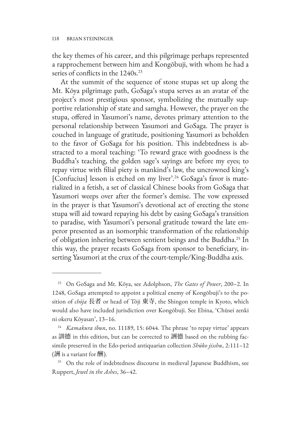the key themes of his career, and this pilgrimage perhaps represented a rapprochement between him and Kongōbuji, with whom he had a series of conflicts in the 1240s.<sup>23</sup>

At the summit of the sequence of stone stupas set up along the Mt. Kōya pilgrimage path, GoSaga's stupa serves as an avatar of the project's most prestigious sponsor, symbolizing the mutually supportive relationship of state and samgha. However, the prayer on the stupa, offered in Yasumori's name, devotes primary attention to the personal relationship between Yasumori and GoSaga. The prayer is couched in language of gratitude, positioning Yasumori as beholden to the favor of GoSaga for his position. This indebtedness is abstracted to a moral teaching: 'To reward grace with goodness is the Buddha's teaching, the golden sage's sayings are before my eyes; to repay virtue with filial piety is mankind's law, the uncrowned king's [Confucius] lesson is etched on my liver'.<sup>24</sup> GoSaga's favor is materialized in a fetish, a set of classical Chinese books from GoSaga that Yasumori weeps over after the former's demise. The vow expressed in the prayer is that Yasumori's devotional act of erecting the stone stupa will aid toward repaying his debt by easing GoSaga's transition to paradise, with Yasumori's personal gratitude toward the late emperor presented as an isomorphic transformation of the relationship of obligation inhering between sentient beings and the Buddha.<sup>25</sup> In this way, the prayer recasts GoSaga from sponsor to beneficiary, inserting Yasumori at the crux of the court-temple/King-Buddha axis.

<sup>23</sup> On GoSaga and Mt. Kōya, see Adolphson, *The Gates of Power*, 200–2. In 1248, GoSaga attempted to appoint a political enemy of Kongōbuji's to the position of *chōja* 長者 or head of Tōji 東寺, the Shingon temple in Kyoto, which would also have included jurisdiction over Kongōbuji. See Ebina, 'Chūsei zenki ni okeru Kōyasan', 13–16.

<sup>&</sup>lt;sup>24</sup> *Kamakura ibun*, no. 11189, 15: 6044. The phrase 'to repay virtue' appears as 訓德 in this edition, but can be corrected to 詶德 based on the rubbing facsimile preserved in the Edo-period antiquarian collection *Shūko jisshu*, 2:111–12 (酬 is a variant for 酬).

<sup>&</sup>lt;sup>25</sup> On the role of indebtedness discourse in medieval Japanese Buddhism, see Ruppert, *Jewel in the Ashes*, 36–42.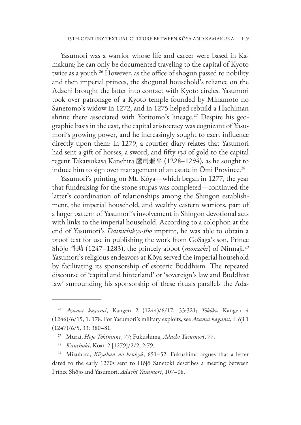Yasumori was a warrior whose life and career were based in Kamakura; he can only be documented traveling to the capital of Kyoto twice as a youth.<sup>26</sup> However, as the office of shogun passed to nobility and then imperial princes, the shogunal household's reliance on the Adachi brought the latter into contact with Kyoto circles. Yasumori took over patronage of a Kyoto temple founded by Minamoto no Sanetomo's widow in 1272, and in 1275 helped rebuild a Hachiman shrine there associated with Yoritomo's lineage.<sup>27</sup> Despite his geographic basis in the east, the capital aristocracy was cognizant of Yasumori's growing power, and he increasingly sought to exert influence directly upon them: in 1279, a courtier diary relates that Yasumori had sent a gift of horses, a sword, and fifty *ryō* of gold to the capital regent Takatsukasa Kanehira 鷹司兼平 (1228–1294), as he sought to induce him to sign over management of an estate in  $\bar{O}$ mi Province.<sup>28</sup>

Yasumori's printing on Mt. Kōya—which began in 1277, the year that fundraising for the stone stupas was completed—continued the latter's coordination of relationships among the Shingon establishment, the imperial household, and wealthy eastern warriors, part of a larger pattern of Yasumori's involvement in Shingon devotional acts with links to the imperial household. According to a colophon at the end of Yasumori's *Dainichikyō-sho* imprint, he was able to obtain a proof text for use in publishing the work from GoSaga's son, Prince Shōjo 性助 (1247–1283), the princely abbot (*monzeki*) of Ninnaji.29 Yasumori's religious endeavors at Kōya served the imperial household by facilitating its sponsorship of esoteric Buddhism. The repeated discourse of 'capital and hinterland' or 'sovereign's law and Buddhist law' surrounding his sponsorship of these rituals parallels the Ada-

<sup>26</sup> *Azuma kagami*, Kangen 2 (1244)/6/17, 33:321; *Yōkōki*, Kangen 4 (1246)/6/15, 1: 178. For Yasumori's military exploits, see *Azuma kagami*, Hōji 1 (1247)/6/5, 33: 380–81.

<sup>27</sup> Murai, *Hōjō Tokimune*, 77; Fukushima, *Adachi Yasumori*, 77.

<sup>28</sup> *Kanchūki*, Kōan 2 [1279]/2/2, 2:79.

<sup>29</sup> Mizuhara, *Kōyaban no kenkyū*, 651–52. Fukushima argues that a letter dated to the early 1270s sent to Hōjō Sanetoki describes a meeting between Prince Shōjo and Yasumori. *Adachi Yasumori*, 107–08.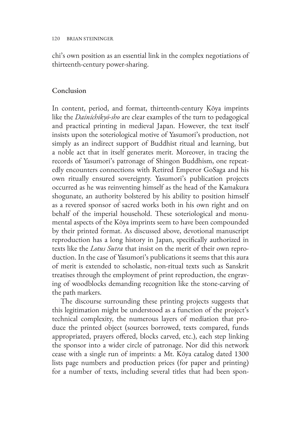chi's own position as an essential link in the complex negotiations of thirteenth-century power-sharing.

### Conclusion

In content, period, and format, thirteenth-century Kōya imprints like the *Dainichikyō-sho* are clear examples of the turn to pedagogical and practical printing in medieval Japan. However, the text itself insists upon the soteriological motive of Yasumori's production, not simply as an indirect support of Buddhist ritual and learning, but a noble act that in itself generates merit. Moreover, in tracing the records of Yasumori's patronage of Shingon Buddhism, one repeatedly encounters connections with Retired Emperor GoSaga and his own ritually ensured sovereignty. Yasumori's publication projects occurred as he was reinventing himself as the head of the Kamakura shogunate, an authority bolstered by his ability to position himself as a revered sponsor of sacred works both in his own right and on behalf of the imperial household. These soteriological and monumental aspects of the Kōya imprints seem to have been compounded by their printed format. As discussed above, devotional manuscript reproduction has a long history in Japan, specifically authorized in texts like the *Lotus Sutra* that insist on the merit of their own reproduction. In the case of Yasumori's publications it seems that this aura of merit is extended to scholastic, non-ritual texts such as Sanskrit treatises through the employment of print reproduction, the engraving of woodblocks demanding recognition like the stone-carving of the path markers.

The discourse surrounding these printing projects suggests that this legitimation might be understood as a function of the project's technical complexity, the numerous layers of mediation that produce the printed object (sources borrowed, texts compared, funds appropriated, prayers offered, blocks carved, etc.), each step linking the sponsor into a wider circle of patronage. Nor did this network cease with a single run of imprints: a Mt. Kōya catalog dated 1300 lists page numbers and production prices (for paper and printing) for a number of texts, including several titles that had been spon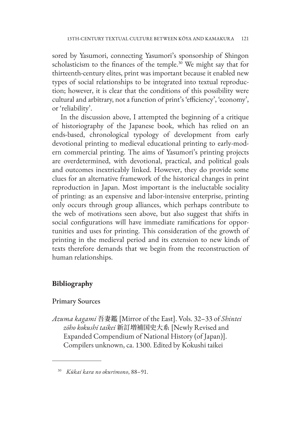sored by Yasumori, connecting Yasumori's sponsorship of Shingon scholasticism to the finances of the temple.<sup>30</sup> We might say that for thirteenth-century elites, print was important because it enabled new types of social relationships to be integrated into textual reproduction; however, it is clear that the conditions of this possibility were cultural and arbitrary, not a function of print's 'efficiency', 'economy', or 'reliability'.

In the discussion above, I attempted the beginning of a critique of historiography of the Japanese book, which has relied on an ends-based, chronological typology of development from early devotional printing to medieval educational printing to early-modern commercial printing. The aims of Yasumori's printing projects are overdetermined, with devotional, practical, and political goals and outcomes inextricably linked. However, they do provide some clues for an alternative framework of the historical changes in print reproduction in Japan. Most important is the ineluctable sociality of printing: as an expensive and labor-intensive enterprise, printing only occurs through group alliances, which perhaps contribute to the web of motivations seen above, but also suggest that shifts in social configurations will have immediate ramifications for opportunities and uses for printing. This consideration of the growth of printing in the medieval period and its extension to new kinds of texts therefore demands that we begin from the reconstruction of human relationships.

#### **Bibliography**

#### Primary Sources

*Azuma kagami* 吾妻鑑 [Mirror of the East]. Vols. 32–33 of *Shintei zōho kokushi taikei* 新訂増補国史大系 [Newly Revised and Expanded Compendium of National History (of Japan)]. Compilers unknown, ca. 1300. Edited by Kokushi taikei

<sup>30</sup> *Kūkai kara no okurimono*, 88–91.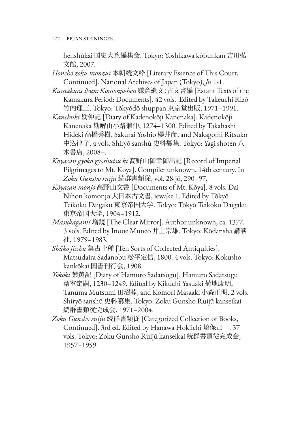122 BRIAN STEININGER

henshūkai 国史大系編集会. Tokyo: Yoshikawa kōbunkan 吉川弘 文館, 2007.

*Honchō zoku monzui* 本朝続文粋 [Literary Essence of This Court, Continued]. National Archives of Japan (Tokyo), *Jū* 1-1.

*Kamakura ibun: Komonjo-hen* 鎌倉遺文:古文書編 [Extant Texts of the Kamakura Period: Documents]. 42 vols. Edited by Takeuchi Rizō 竹内理三. Tokyo: Tōkyōdō shuppan 東京堂出版, 1971–1991.

*Kanchūki* 勘仲記 [Diary of Kadenokōji Kanenaka]. Kadenokōji Kanenaka 勘解由小路兼仲, 1274–1300. Edited by Takahashi Hideki 高橋秀樹, Sakurai Yoshio 櫻井彦, and Nakagomi Ritsuko 中込律子. 4 vols. Shiryō sanshū 史料纂集. Tokyo: Yagi shoten 八 木書店, 2008–.

*Kōyasan gyokō gyoshutsu ki* 高野山御幸御出記 [Record of Imperial Pilgrimages to Mt. Kōya]. Compiler unknown, 14th century. In *Zoku Gunsho ruiju* 続群書類従, vol. 28-jō, 290–97.

- *Kōyasan monjo* 高野山文書 [Documents of Mt. Kōya]. 8 vols. Dai Nihon komonjo 大日本古文書, iewake 1. Edited by Tōkyō Teikoku Daigaku 東京帝国大学. Tokyo: Tōkyō Teikoku Daigaku 東京帝国大学, 1904–1912.
- *Masukagami* 増鏡 [The Clear Mirror]. Author unknown, ca. 1377. 3 vols. Edited by Inoue Muneo 井上宗雄. Tokyo: Kōdansha 講談 社, 1979–1983.

*Shūko jisshu* 集古十種 [Ten Sorts of Collected Antiquities]. Matsudaira Sadanobu 松平定信, 1800. 4 vols. Tokyo: Kokusho kankōkai 国書刊行会, 1908.

*Yōkōki* 葉黄記 [Diary of Hamuro Sadatsugu]. Hamuro Sadatsugu 葉室定嗣, 1230–1249. Edited by Kikuchi Yasuaki 菊地康明, Tanuma Mutsumi 田沼睦, and Komori Masaaki 小森正明. 2 vols. Shiryō sanshū 史料纂集. Tokyo: Zoku Gunsho Ruijū kanseikai 続群書類従完成会, 1971–2004.

*Zoku Gunsho ruiju* 続群書類従 [Categorized Collection of Books, Continued]. 3rd ed. Edited by Hanawa Hokiichi 塙保己一. 37 vols. Tokyo: Zoku Gunsho Ruijū kanseikai 続群書類従完成会, 1957–1959.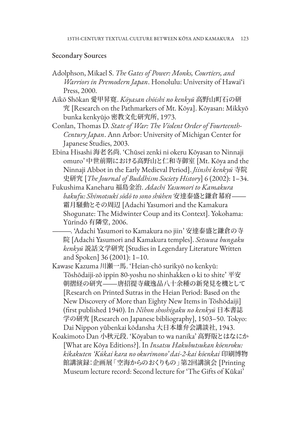#### Secondary Sources

- Adolphson, Mikael S. *The Gates of Power: Monks, Courtiers, and Warriors in Premodern Japan*. Honolulu: University of Hawai'i Press, 2000.
- Aikō Shōkan 愛甲昇寛. *Kōyasan chōishi no kenkyū* 高野山町石の研 究 [Research on the Pathmarkers of Mt. Kōya]. Kōyasan: Mikkyō bunka kenkyūjo 密教文化研究所, 1973.
- Conlan, Thomas D. *State of War: The Violent Order of Fourteenth-Century Japan*. Ann Arbor: University of Michigan Center for Japanese Studies, 2003.
- Ebina Hisashi 海老名尚. 'Chūsei zenki ni okeru Kōyasan to Ninnaji omuro' 中世前期における高野山と仁和寺御室 [Mt. Kōya and the Ninnaji Abbot in the Early Medieval Period]. *Jiinshi kenkyū* 寺院 史研究 [*The Journal of Buddhism Society History*] 6 (2002): 1–34.
- Fukushima Kaneharu 福島金治. *Adachi Yasumori to Kamakura bakufu: Shimotsuki sōdō to sono shūhen* 安達泰盛と鎌倉幕府― 霜月騒動とその周辺 [Adachi Yasumori and the Kamakura Shogunate: The Midwinter Coup and its Context]. Yokohama: Yūrindō 有隣堂, 2006.
	- —. 'Adachi Yasumori to Kamakura no jiin' 安達泰盛と鎌倉の寺 院 [Adachi Yasumori and Kamakura temples]. *Setsuwa bungaku kenkyū* 説話文学研究 [Studies in Legendary Literature Written and Spoken] 36 (2001): 1–10.
- Kawase Kazuma 川瀬一馬. 'Heian-chō surikyō no kenkyū: Tōshōdaiji-zō ippin 80-yoshu no shinhakken o ki to shite' 平安 朝摺経の研究―唐招提寺蔵逸品八十余種の新発見を機として [Research on Printed Sutras in the Heian Period: Based on the New Discovery of More than Eighty New Items in Tōshōdaiji] (first published 1940). In *Nihon shoshigaku no kenkyū* 日本書誌 学の研究 [Research on Japanese bibliography], 1503–50. Tokyo: Dai Nippon yūbenkai kōdansha 大日本雄弁会講談社, 1943.
- Koakimoto Dan 小秋元段. 'Kōyaban to wa nanika' 高野版とはなにか [What are Kōya Editions?]. In *Insatsu Hakubutsukan kōenroku: kikakuten 'Kūkai kara no okurimono' dai-2-kai kōenkai* 印刷博物 館講演録:企画展「空海からのおくりもの」第2回講演会 [Printing Museum lecture record: Second lecture for 'The Gifts of Kūkai'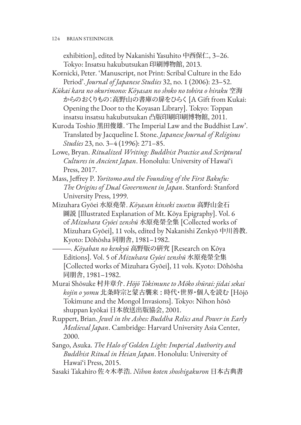124 BRIAN STEININGER

exhibition], edited by Nakanishi Yasuhito 中西保仁, 3–26. Tokyo: Insatsu hakubutsukan 印刷博物館, 2013.

- Kornicki, Peter. 'Manuscript, not Print: Scribal Culture in the Edo Period'. *Journal of Japanese Studies* 32, no. 1 (2006): 23–52.
- *Kūkai kara no okurimono: Kōyasan no shoko no tobira o hiraku* 空海 からのおくりもの:高野山の書庫の扉をひらく [A Gift from Kukai: Opening the Door to the Koyasan Library]. Tokyo: Toppan insatsu insatsu hakubutsukan 凸版印刷印刷博物館, 2011.
- Kuroda Toshio 黒田俊雄. 'The Imperial Law and the Buddhist Law'. Translated by Jacqueline I. Stone. *Japanese Journal of Religious Studies* 23, no. 3–4 (1996): 271–85.
- Lowe, Bryan. *Ritualized Writing: Buddhist Practice and Scriptural Cultures in Ancient Japan*. Honolulu: University of Hawai'i Press, 2017.
- Mass, Jeffrey P. *Yoritomo and the Founding of the First Bakufu: The Origins of Dual Government in Japan*. Stanford: Stanford University Press, 1999.
- Mizuhara Gyōei 水原堯榮. *Kōyasan kinseki zusetsu* 高野山金石 圖説 [Illustrated Explanation of Mt. Kōya Epigraphy]. Vol. 6 of *Mizuhara Gyōei zenshū* 水原堯榮全集 [Collected works of Mizuhara Gyōei], 11 vols, edited by Nakanishi Zenkyō 中川善教. Kyoto: Dōhōsha 同朋舎, 1981–1982.
	- —. *Kōyaban no kenkyū* 高野版の研究 [Research on Kōya Editions]. Vol. 5 of *Mizuhara Gyōei zenshū* 水原堯榮全集 [Collected works of Mizuhara Gyōei], 11 vols. Kyoto: Dōhōsha 同朋舎, 1981–1982.
- Murai Shōsuke 村井章介. *Hōjō Tokimune to Mōko shūrai: jidai sekai kojin o yomu* 北条時宗と蒙古襲来 : 時代・世界・個人を読む [Hōjō Tokimune and the Mongol Invasions]. Tokyo: Nihon hōsō shuppan kyōkai 日本放送出版協会, 2001.
- Ruppert, Brian. *Jewel in the Ashes: Buddha Relics and Power in Early Medieval Japan*. Cambridge: Harvard University Asia Center, 2000.
- Sango, Asuka. *The Halo of Golden Light: Imperial Authority and Buddhist Ritual in Heian Japan*. Honolulu: University of Hawai'i Press, 2015.
- Sasaki Takahiro 佐々木孝浩. *Nihon koten shoshigakuron* 日本古典書